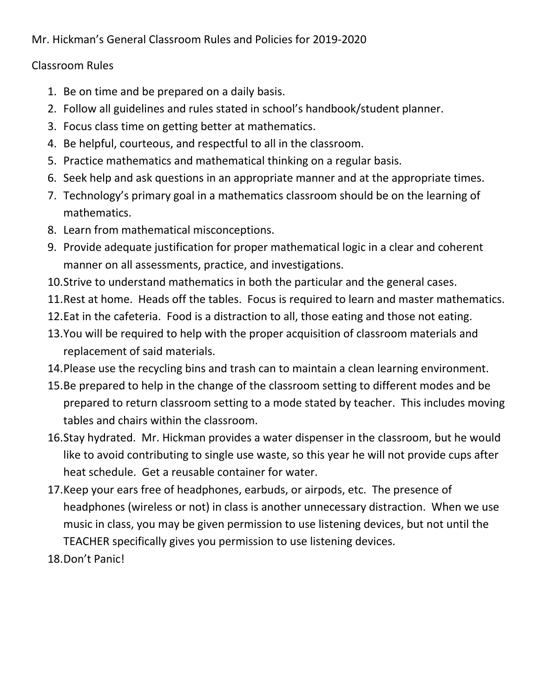Mr. Hickman's General Classroom Rules and Policies for 2019-2020

## Classroom Rules

- 1. Be on time and be prepared on a daily basis.
- 2. Follow all guidelines and rules stated in school's handbook/student planner.
- 3. Focus class time on getting better at mathematics.
- 4. Be helpful, courteous, and respectful to all in the classroom.
- 5. Practice mathematics and mathematical thinking on a regular basis.
- 6. Seek help and ask questions in an appropriate manner and at the appropriate times.
- 7. Technology's primary goal in a mathematics classroom should be on the learning of mathematics.
- 8. Learn from mathematical misconceptions.
- 9. Provide adequate justification for proper mathematical logic in a clear and coherent manner on all assessments, practice, and investigations.
- 10.Strive to understand mathematics in both the particular and the general cases.
- 11.Rest at home. Heads off the tables. Focus is required to learn and master mathematics.
- 12.Eat in the cafeteria. Food is a distraction to all, those eating and those not eating.
- 13.You will be required to help with the proper acquisition of classroom materials and replacement of said materials.
- 14.Please use the recycling bins and trash can to maintain a clean learning environment.
- 15.Be prepared to help in the change of the classroom setting to different modes and be prepared to return classroom setting to a mode stated by teacher. This includes moving tables and chairs within the classroom.
- 16.Stay hydrated. Mr. Hickman provides a water dispenser in the classroom, but he would like to avoid contributing to single use waste, so this year he will not provide cups after heat schedule. Get a reusable container for water.
- 17.Keep your ears free of headphones, earbuds, or airpods, etc. The presence of headphones (wireless or not) in class is another unnecessary distraction. When we use music in class, you may be given permission to use listening devices, but not until the TEACHER specifically gives you permission to use listening devices.
- 18.Don't Panic!